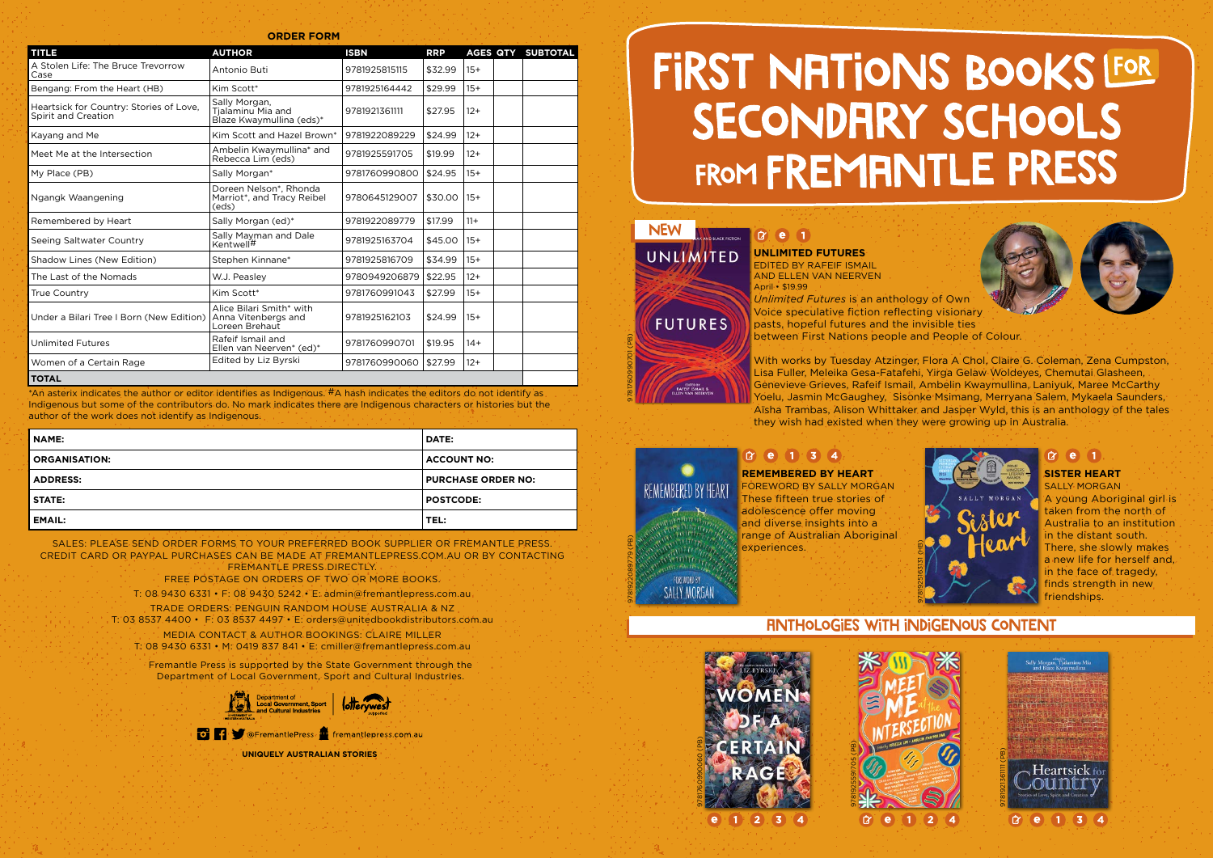| <b>TITLE</b>                                                   | <b>AUTHOR</b>                                                     | <b>ISBN</b>   | <b>RRP</b> | <b>AGES QTY</b> | <b>SUBTOTAL</b> |
|----------------------------------------------------------------|-------------------------------------------------------------------|---------------|------------|-----------------|-----------------|
| A Stolen Life: The Bruce Trevorrow<br>Case                     | Antonio Buti                                                      | 9781925815115 | \$32.99    | $15+$           |                 |
| Bengang: From the Heart (HB)                                   | Kim Scott*                                                        | 9781925164442 | \$29.99    | $15+$           |                 |
| Heartsick for Country: Stories of Love,<br>Spirit and Creation | Sally Morgan,<br>Tjalaminu Mia and<br>Blaze Kwaymullina (eds)*    | 9781921361111 | \$27.95    | $12+$           |                 |
| Kayang and Me                                                  | Kim Scott and Hazel Brown*                                        | 9781922089229 | \$24.99    | $12+$           |                 |
| Meet Me at the Intersection                                    | Ambelin Kwaymullina* and<br>Rebecca Lim (eds)                     | 9781925591705 | \$19.99    | $12+$           |                 |
| My Place (PB)                                                  | Sally Morgan*                                                     | 9781760990800 | \$24.95    | $15+$           |                 |
| Ngangk Waangening                                              | Doreen Nelson*, Rhonda<br>Marriot*, and Tracy Reibel<br>(eds)     | 9780645129007 | \$30.00    | $15+$           |                 |
| Remembered by Heart                                            | Sally Morgan (ed)*                                                | 9781922089779 | \$17.99    | $11+$           |                 |
| Seeing Saltwater Country                                       | Sally Mayman and Dale<br>Kentwell#                                | 9781925163704 | \$45.00    | $15+$           |                 |
| Shadow Lines (New Edition)                                     | Stephen Kinnane*                                                  | 9781925816709 | \$34.99    | $15+$           |                 |
| The Last of the Nomads                                         | W.J. Peasley                                                      | 9780949206879 | \$22.95    | $12+$           |                 |
| <b>True Country</b>                                            | Kim Scott*                                                        | 9781760991043 | \$27.99    | $15+$           |                 |
| Under a Bilari Tree I Born (New Edition)                       | Alice Bilari Smith* with<br>Anna Vitenbergs and<br>Loreen Brehaut | 9781925162103 | \$24.99    | $15+$           |                 |
| <b>Unlimited Futures</b>                                       | Rafeif Ismail and<br>Ellen van Neerven* (ed)*                     | 9781760990701 | \$19.95    | $14+$           |                 |
| Women of a Certain Rage                                        | Edited by Liz Byrski                                              | 9781760990060 | \$27.99    | $12+$           |                 |
|                                                                |                                                                   |               |            |                 |                 |

SALES: PLEASE SEND ORDER FORMS TO YOUR PREFERRED BOOK SUPPLIER OR FREMANTLE PRESS. CREDIT CARD OR PAYPAL PURCHASES CAN BE MADE AT FREMANTLEPRESS.COM.AU OR BY CONTACTING FREMANTLE PRESS DIRECTLY.

#### **TOTAL**

**ORDER FORM**

\*An asterix indicates the author or editor identifies as Indigenous. #A hash indicates the editors do not identify as Indigenous but some of the contributors do. No mark indicates there are Indigenous characters or histories but the author of the work does not identify as Indigenous.

#### $x$  (e) (1) **SISTER HEART**

FREE POSTAGE ON ORDERS OF TWO OR MORE BOOKS.

T: 08 9430 6331 • F: 08 9430 5242 • E: admin@fremantlepress.com.au

TRADE ORDERS: PENGUIN RANDOM HOUSE AUSTRALIA & NZ

T: 03 8537 4400 • F: 03 8537 4497 • E: orders@unitedbookdistributors.com.au

MEDIA CONTACT & AUTHOR BOOKINGS: CLAIRE MILLER T: 08 9430 6331 • M: 0419 837 841 • E: cmiller@fremantlepress.com.au

| <b>NAME:</b>         | <b>DATE:</b>              |
|----------------------|---------------------------|
| <b>ORGANISATION:</b> | <b>ACCOUNT NO:</b>        |
| <b>ADDRESS:</b>      | <b>PURCHASE ORDER NO:</b> |
| <b>STATE:</b>        | <b>POSTCODE:</b>          |
| <b>EMAIL:</b>        | TEL:                      |

9781760990701 (PB)

**NEW** 

**FUTURES** 

REMEMBERED BY HEART

**FOREWORD BY SALLY MORGAN**  **UNLIMITED FUTURES** EDITED BY RAFEIF ISMAIL AND ELLEN VAN NEERVEN April • \$19.99

*Unlimited Futures* is an anthology of Own Voice speculative fiction reflecting visionary pasts, hopeful futures and the invisible ties between First Nations people and People of Colour.

With works by Tuesday Atzinger, Flora A Chol, Claire G. Coleman, Zena Cumpston, Lisa Fuller, Meleika Gesa-Fatafehi, Yirga Gelaw Woldeyes, Chemutai Glasheen, Genevieve Grieves, Rafeif Ismail, Ambelin Kwaymullina, Laniyuk, Maree McCarthy Yoelu, Jasmin McGaughey, Sisonke Msimang, Merryana Salem, Mykaela Saunders, Aïsha Trambas, Alison Whittaker and Jasper Wyld, this is an anthology of the tales they wish had existed when they were growing up in Australia.

### $x^2$  (e) (1) (3) (4)

9781922089779 (PB)



Fremantle Press is supported by the State Government through the Department of Local Government, Sport and Cultural Industries.





**UNIQUELY AUSTRALIAN STORIES**

## FIRST NATIONS BOOKS LFOR SECONDRRY SCHOOLS FROM FREMANTLE PRESS

#### $x e_1$ UNLIMITED

SALLY MORGAN A young Aboriginal girl is taken from the north of Australia to an institution in the distant south. There, she slowly makes a new life for herself and, in the face of tragedy, finds strength in new friendships.

#### **REMEMBERED BY HEART**

FOREWORD BY SALLY MORGAN These fifteen true stories of adolescence offer moving and diverse insights into a range of Australian Aboriginal experiences.





### Anthologies with indigenous content